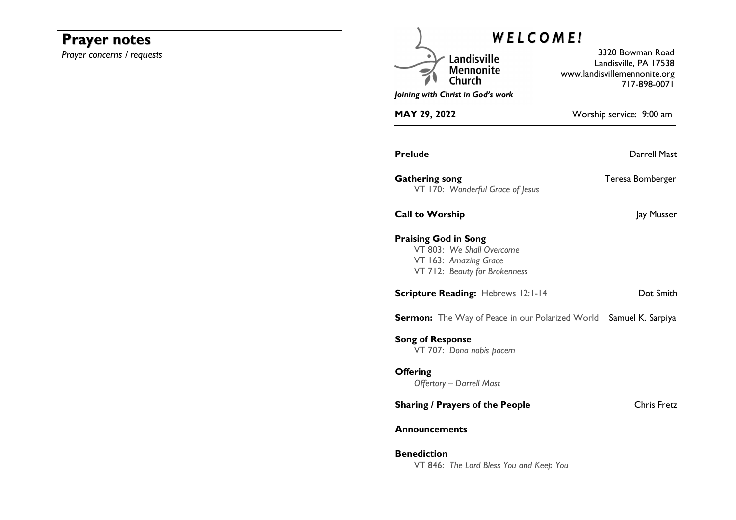# **Prayer notes**

*Prayer concerns / requests* 

| <b>WELCOME!</b>             |                                                                                     |                                                                                           |
|-----------------------------|-------------------------------------------------------------------------------------|-------------------------------------------------------------------------------------------|
|                             | Landisville<br><b>Mennonite</b><br>Church                                           | 3320 Bowman Road<br>Landisville, PA 17538<br>www.landisvillemennonite.org<br>717-898-0071 |
|                             | Joining with Christ in God's work                                                   |                                                                                           |
| <b>MAY 29, 2022</b>         |                                                                                     | Worship service: 9:00 am                                                                  |
| <b>Prelude</b>              |                                                                                     | <b>Darrell Mast</b>                                                                       |
| <b>Gathering song</b>       | VT 170: Wonderful Grace of Jesus                                                    | Teresa Bomberger                                                                          |
| <b>Call to Worship</b>      |                                                                                     | Jay Musser                                                                                |
| <b>Praising God in Song</b> | VT 803: We Shall Overcome<br>VT 163: Amazing Grace<br>VT 712: Beauty for Brokenness |                                                                                           |
|                             | <b>Scripture Reading: Hebrews 12:1-14</b>                                           | Dot Smith                                                                                 |
|                             | <b>Sermon:</b> The Way of Peace in our Polarized World                              | Samuel K. Sarpiya                                                                         |
| <b>Song of Response</b>     | VT 707: Dona nobis pacem                                                            |                                                                                           |
| <b>Offering</b>             | <b>Offertory - Darrell Mast</b>                                                     |                                                                                           |
|                             | <b>Sharing / Prayers of the People</b>                                              | <b>Chris Fretz</b>                                                                        |
| <b>Announcements</b>        |                                                                                     |                                                                                           |
| <b>Benediction</b>          | VT 846: The Lord Bless You and Keep You                                             |                                                                                           |